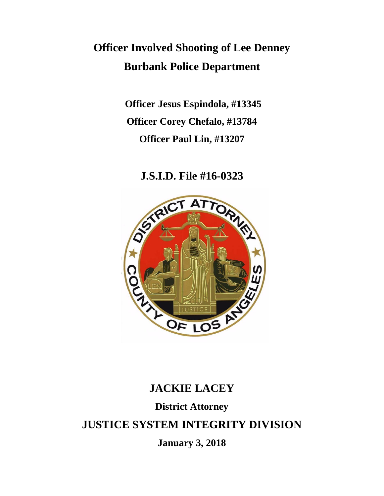# **Officer Involved Shooting of Lee Denney Burbank Police Department**

**Officer Jesus Espindola, #13345 Officer Corey Chefalo, #13784 Officer Paul Lin, #13207**

**J.S.I.D. File #16-0323**



## **JACKIE LACEY**

## **District Attorney**

## **JUSTICE SYSTEM INTEGRITY DIVISION**

**January 3, 2018**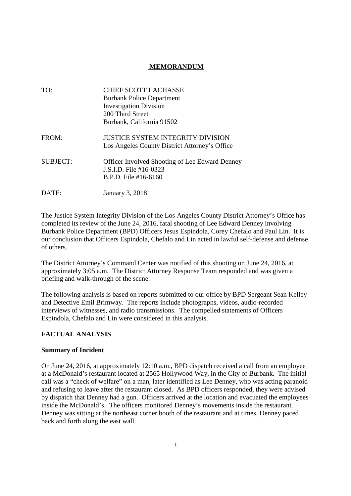#### **MEMORANDUM**

| TO:             | <b>CHIEF SCOTT LACHASSE</b>                           |
|-----------------|-------------------------------------------------------|
|                 | <b>Burbank Police Department</b>                      |
|                 | <b>Investigation Division</b>                         |
|                 | 200 Third Street                                      |
|                 | Burbank, California 91502                             |
| FROM:           | <b>JUSTICE SYSTEM INTEGRITY DIVISION</b>              |
|                 | Los Angeles County District Attorney's Office         |
| <b>SUBJECT:</b> | <b>Officer Involved Shooting of Lee Edward Denney</b> |
|                 | J.S.I.D. File #16-0323                                |
|                 | $B.P.D.$ File #16-6160                                |
| DATE:           | January 3, 2018                                       |

The Justice System Integrity Division of the Los Angeles County District Attorney's Office has completed its review of the June 24, 2016, fatal shooting of Lee Edward Denney involving Burbank Police Department (BPD) Officers Jesus Espindola, Corey Chefalo and Paul Lin. It is our conclusion that Officers Espindola, Chefalo and Lin acted in lawful self-defense and defense of others.

The District Attorney's Command Center was notified of this shooting on June 24, 2016, at approximately 3:05 a.m. The District Attorney Response Team responded and was given a briefing and walk-through of the scene.

The following analysis is based on reports submitted to our office by BPD Sergeant Sean Kelley and Detective Emil Brimway. The reports include photographs, videos, audio-recorded interviews of witnesses, and radio transmissions. The compelled statements of Officers Espindola, Chefalo and Lin were considered in this analysis.

#### **FACTUAL ANALYSIS**

#### **Summary of Incident**

On June 24, 2016, at approximately 12:10 a.m., BPD dispatch received a call from an employee at a McDonald's restaurant located at 2565 Hollywood Way, in the City of Burbank. The initial call was a "check of welfare" on a man, later identified as Lee Denney, who was acting paranoid and refusing to leave after the restaurant closed. As BPD officers responded, they were advised by dispatch that Denney had a gun. Officers arrived at the location and evacuated the employees inside the McDonald's. The officers monitored Denney's movements inside the restaurant. Denney was sitting at the northeast corner booth of the restaurant and at times, Denney paced back and forth along the east wall.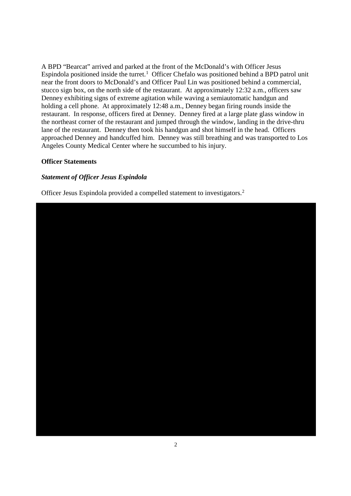A BPD "Bearcat" arrived and parked at the front of the McDonald's with Officer Jesus Espindola positioned inside the turret.<sup>1</sup> Officer Chefalo was positioned behind a BPD patrol unit near the front doors to McDonald's and Officer Paul Lin was positioned behind a commercial, stucco sign box, on the north side of the restaurant. At approximately 12:32 a.m., officers saw Denney exhibiting signs of extreme agitation while waving a semiautomatic handgun and holding a cell phone. At approximately 12:48 a.m., Denney began firing rounds inside the restaurant. In response, officers fired at Denney. Denney fired at a large plate glass window in the northeast corner of the restaurant and jumped through the window, landing in the drive-thru lane of the restaurant. Denney then took his handgun and shot himself in the head. Officers approached Denney and handcuffed him. Denney was still breathing and was transported to Los Angeles County Medical Center where he succumbed to his injury.

#### **Officer Statements**

#### *Statement of Officer Jesus Espindola*

Officer Jesus Espindola provided a compelled statement to investigators.2

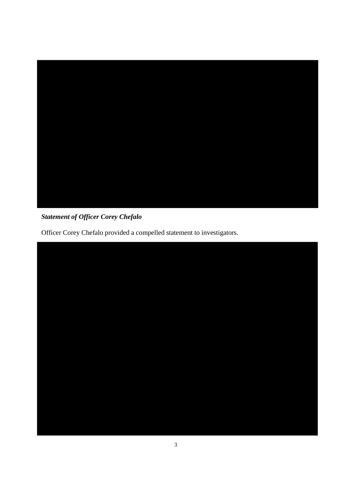

### *Statement of Officer Corey Chefalo*

Officer Corey Chefalo provided a compelled statement to investigators.

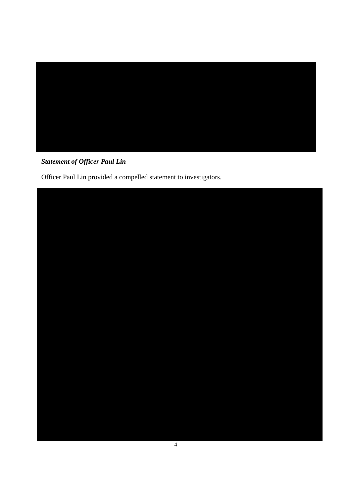

### *Statement of Officer Paul Lin*

Officer Paul Lin provided a compelled statement to investigators.

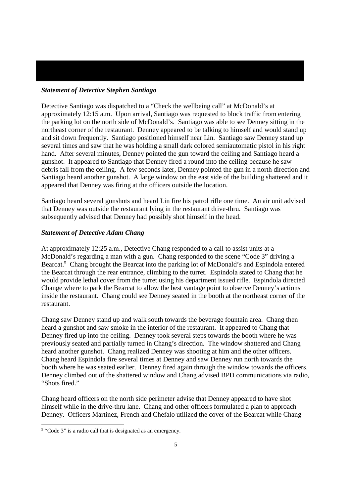#### *Statement of Detective Stephen Santiago*

Detective Santiago was dispatched to a "Check the wellbeing call" at McDonald's at approximately 12:15 a.m. Upon arrival, Santiago was requested to block traffic from entering the parking lot on the north side of McDonald's. Santiago was able to see Denney sitting in the northeast corner of the restaurant. Denney appeared to be talking to himself and would stand up and sit down frequently. Santiago positioned himself near Lin. Santiago saw Denney stand up several times and saw that he was holding a small dark colored semiautomatic pistol in his right hand. After several minutes, Denney pointed the gun toward the ceiling and Santiago heard a gunshot. It appeared to Santiago that Denney fired a round into the ceiling because he saw debris fall from the ceiling. A few seconds later, Denney pointed the gun in a north direction and Santiago heard another gunshot. A large window on the east side of the building shattered and it appeared that Denney was firing at the officers outside the location.

Santiago heard several gunshots and heard Lin fire his patrol rifle one time. An air unit advised that Denney was outside the restaurant lying in the restaurant drive-thru. Santiago was subsequently advised that Denney had possibly shot himself in the head.

#### *Statement of Detective Adam Chang*

At approximately 12:25 a.m., Detective Chang responded to a call to assist units at a McDonald's regarding a man with a gun. Chang responded to the scene "Code 3" driving a Bearcat.<sup>5</sup> Chang brought the Bearcat into the parking lot of McDonald's and Espindola entered the Bearcat through the rear entrance, climbing to the turret. Espindola stated to Chang that he would provide lethal cover from the turret using his department issued rifle. Espindola directed Change where to park the Bearcat to allow the best vantage point to observe Denney's actions inside the restaurant. Chang could see Denney seated in the booth at the northeast corner of the restaurant.

Chang saw Denney stand up and walk south towards the beverage fountain area. Chang then heard a gunshot and saw smoke in the interior of the restaurant. It appeared to Chang that Denney fired up into the ceiling. Denney took several steps towards the booth where he was previously seated and partially turned in Chang's direction. The window shattered and Chang heard another gunshot. Chang realized Denney was shooting at him and the other officers. Chang heard Espindola fire several times at Denney and saw Denney run north towards the booth where he was seated earlier. Denney fired again through the window towards the officers. Denney climbed out of the shattered window and Chang advised BPD communications via radio, "Shots fired."

Chang heard officers on the north side perimeter advise that Denney appeared to have shot himself while in the drive-thru lane. Chang and other officers formulated a plan to approach Denney. Officers Martinez, French and Chefalo utilized the cover of the Bearcat while Chang

<sup>&</sup>lt;sup>5</sup> "Code 3" is a radio call that is designated as an emergency.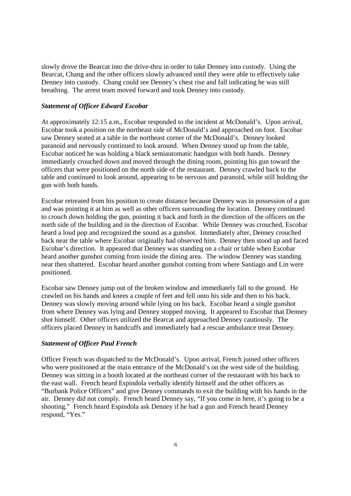slowly drove the Bearcat into the drive-thru in order to take Denney into custody. Using the Bearcat, Chang and the other officers slowly advanced until they were able to effectively take Denney into custody. Chang could see Denney's chest rise and fall indicating he was still breathing. The arrest team moved forward and took Denney into custody.

#### *Statement of Officer Edward Escobar*

At approximately 12:15 a.m., Escobar responded to the incident at McDonald's. Upon arrival, Escobar took a position on the northeast side of McDonald's and approached on foot. Escobar saw Denney seated at a table in the northeast corner of the McDonald's. Denney looked paranoid and nervously continued to look around. When Denney stood up from the table, Escobar noticed he was holding a black semiautomatic handgun with both hands. Denney immediately crouched down and moved through the dining room, pointing his gun toward the officers that were positioned on the north side of the restaurant. Denney crawled back to the table and continued to look around, appearing to be nervous and paranoid, while still holding the gun with both hands.

Escobar retreated from his position to create distance because Denney was in possession of a gun and was pointing it at him as well as other officers surrounding the location. Denney continued to crouch down holding the gun, pointing it back and forth in the direction of the officers on the north side of the building and in the direction of Escobar. While Denney was crouched, Escobar heard a loud pop and recognized the sound as a gunshot. Immediately after, Denney crouched back near the table where Escobar originally had observed him. Denney then stood up and faced Escobar's direction. It appeared that Denney was standing on a chair or table when Escobar heard another gunshot coming from inside the dining area. The window Denney was standing near then shattered. Escobar heard another gunshot coming from where Santiago and Lin were positioned.

Escobar saw Denney jump out of the broken window and immediately fall to the ground. He crawled on his hands and knees a couple of feet and fell onto his side and then to his back. Denney was slowly moving around while lying on his back. Escobar heard a single gunshot from where Denney was lying and Denney stopped moving. It appeared to Escobar that Denney shot himself. Other officers utilized the Bearcat and approached Denney cautiously. The officers placed Denney in handcuffs and immediately had a rescue ambulance treat Denney.

#### *Statement of Officer Paul French*

Officer French was dispatched to the McDonald's. Upon arrival, French joined other officers who were positioned at the main entrance of the McDonald's on the west side of the building. Denney was sitting in a booth located at the northeast corner of the restaurant with his back to the east wall. French heard Espindola verbally identify himself and the other officers as "Burbank Police Officers" and give Denney commands to exit the building with his hands in the air. Denney did not comply. French heard Denney say, "If you come in here, it's going to be a shooting." French heard Espindola ask Denney if he had a gun and French heard Denney respond, "Yes."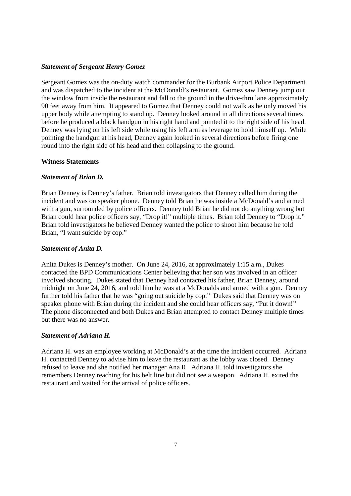#### *Statement of Sergeant Henry Gomez*

Sergeant Gomez was the on-duty watch commander for the Burbank Airport Police Department and was dispatched to the incident at the McDonald's restaurant. Gomez saw Denney jump out the window from inside the restaurant and fall to the ground in the drive-thru lane approximately 90 feet away from him. It appeared to Gomez that Denney could not walk as he only moved his upper body while attempting to stand up. Denney looked around in all directions several times before he produced a black handgun in his right hand and pointed it to the right side of his head. Denney was lying on his left side while using his left arm as leverage to hold himself up. While pointing the handgun at his head, Denney again looked in several directions before firing one round into the right side of his head and then collapsing to the ground.

#### **Witness Statements**

#### *Statement of Brian D.*

Brian Denney is Denney's father. Brian told investigators that Denney called him during the incident and was on speaker phone. Denney told Brian he was inside a McDonald's and armed with a gun, surrounded by police officers. Denney told Brian he did not do anything wrong but Brian could hear police officers say, "Drop it!" multiple times. Brian told Denney to "Drop it." Brian told investigators he believed Denney wanted the police to shoot him because he told Brian, "I want suicide by cop."

#### *Statement of Anita D.*

Anita Dukes is Denney's mother. On June 24, 2016, at approximately 1:15 a.m., Dukes contacted the BPD Communications Center believing that her son was involved in an officer involved shooting. Dukes stated that Denney had contacted his father, Brian Denney, around midnight on June 24, 2016, and told him he was at a McDonalds and armed with a gun. Denney further told his father that he was "going out suicide by cop." Dukes said that Denney was on speaker phone with Brian during the incident and she could hear officers say, "Put it down!" The phone disconnected and both Dukes and Brian attempted to contact Denney multiple times but there was no answer.

#### *Statement of Adriana H.*

Adriana H. was an employee working at McDonald's at the time the incident occurred. Adriana H. contacted Denney to advise him to leave the restaurant as the lobby was closed. Denney refused to leave and she notified her manager Ana R. Adriana H. told investigators she remembers Denney reaching for his belt line but did not see a weapon. Adriana H. exited the restaurant and waited for the arrival of police officers.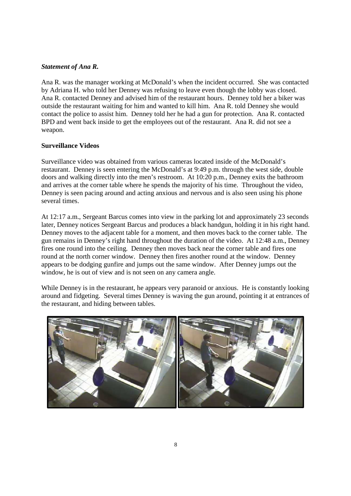#### *Statement of Ana R.*

Ana R. was the manager working at McDonald's when the incident occurred. She was contacted by Adriana H. who told her Denney was refusing to leave even though the lobby was closed. Ana R. contacted Denney and advised him of the restaurant hours. Denney told her a biker was outside the restaurant waiting for him and wanted to kill him. Ana R. told Denney she would contact the police to assist him. Denney told her he had a gun for protection. Ana R. contacted BPD and went back inside to get the employees out of the restaurant. Ana R. did not see a weapon.

#### **Surveillance Videos**

Surveillance video was obtained from various cameras located inside of the McDonald's restaurant. Denney is seen entering the McDonald's at 9:49 p.m. through the west side, double doors and walking directly into the men's restroom. At 10:20 p.m., Denney exits the bathroom and arrives at the corner table where he spends the majority of his time. Throughout the video, Denney is seen pacing around and acting anxious and nervous and is also seen using his phone several times.

At 12:17 a.m., Sergeant Barcus comes into view in the parking lot and approximately 23 seconds later, Denney notices Sergeant Barcus and produces a black handgun, holding it in his right hand. Denney moves to the adjacent table for a moment, and then moves back to the corner table. The gun remains in Denney's right hand throughout the duration of the video. At 12:48 a.m., Denney fires one round into the ceiling. Denney then moves back near the corner table and fires one round at the north corner window. Denney then fires another round at the window. Denney appears to be dodging gunfire and jumps out the same window. After Denney jumps out the window, he is out of view and is not seen on any camera angle.

While Denney is in the restaurant, he appears very paranoid or anxious. He is constantly looking around and fidgeting. Several times Denney is waving the gun around, pointing it at entrances of the restaurant, and hiding between tables.

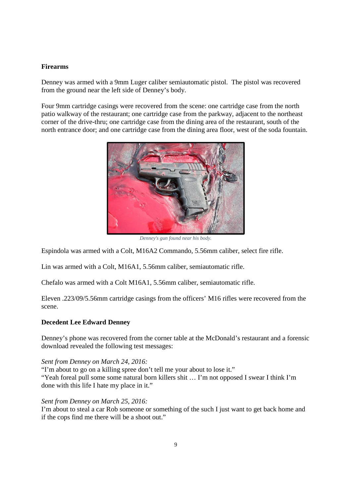#### **Firearms**

Denney was armed with a 9mm Luger caliber semiautomatic pistol. The pistol was recovered from the ground near the left side of Denney's body.

Four 9mm cartridge casings were recovered from the scene: one cartridge case from the north patio walkway of the restaurant; one cartridge case from the parkway, adjacent to the northeast corner of the drive-thru; one cartridge case from the dining area of the restaurant, south of the north entrance door; and one cartridge case from the dining area floor, west of the soda fountain.



*Denney's gun found near his body.*

Espindola was armed with a Colt, M16A2 Commando, 5.56mm caliber, select fire rifle.

Lin was armed with a Colt, M16A1, 5.56mm caliber, semiautomatic rifle.

Chefalo was armed with a Colt M16A1, 5.56mm caliber, semiautomatic rifle.

Eleven .223/09/5.56mm cartridge casings from the officers' M16 rifles were recovered from the scene.

#### **Decedent Lee Edward Denney**

Denney's phone was recovered from the corner table at the McDonald's restaurant and a forensic download revealed the following test messages:

#### *Sent from Denney on March 24, 2016:*

"I'm about to go on a killing spree don't tell me your about to lose it." "Yeah foreal pull some some natural born killers shit … I'm not opposed I swear I think I'm done with this life I hate my place in it."

#### *Sent from Denney on March 25, 2016:*

I'm about to steal a car Rob someone or something of the such I just want to get back home and if the cops find me there will be a shoot out."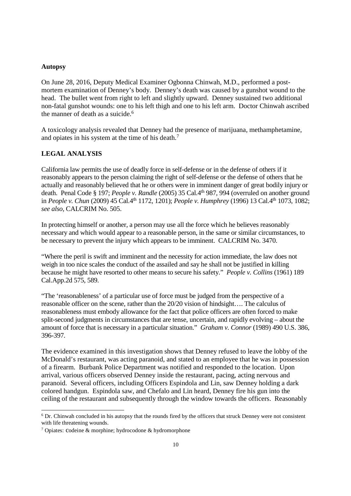#### **Autopsy**

On June 28, 2016, Deputy Medical Examiner Ogbonna Chinwah, M.D., performed a postmortem examination of Denney's body. Denney's death was caused by a gunshot wound to the head. The bullet went from right to left and slightly upward. Denney sustained two additional non-fatal gunshot wounds: one to his left thigh and one to his left arm. Doctor Chinwah ascribed the manner of death as a suicide. $6$ 

A toxicology analysis revealed that Denney had the presence of marijuana, methamphetamine, and opiates in his system at the time of his death.<sup>7</sup>

#### **LEGAL ANALYSIS**

California law permits the use of deadly force in self-defense or in the defense of others if it reasonably appears to the person claiming the right of self-defense or the defense of others that he actually and reasonably believed that he or others were in imminent danger of great bodily injury or death. Penal Code § 197; *People v. Randle* (2005) 35 Cal.4th 987, 994 (overruled on another ground in *People v. Chun* (2009) 45 Cal.4<sup>th</sup> 1172, 1201); *People v. Humphrey* (1996) 13 Cal.4<sup>th</sup> 1073, 1082; *see also,* CALCRIM No. 505.

In protecting himself or another, a person may use all the force which he believes reasonably necessary and which would appear to a reasonable person, in the same or similar circumstances, to be necessary to prevent the injury which appears to be imminent. CALCRIM No. 3470.

"Where the peril is swift and imminent and the necessity for action immediate, the law does not weigh in too nice scales the conduct of the assailed and say he shall not be justified in killing because he might have resorted to other means to secure his safety." *People v. Collins* (1961) 189 Cal.App.2d 575, 589.

"The 'reasonableness' of a particular use of force must be judged from the perspective of a reasonable officer on the scene, rather than the 20/20 vision of hindsight…. The calculus of reasonableness must embody allowance for the fact that police officers are often forced to make split-second judgments in circumstances that are tense, uncertain, and rapidly evolving – about the amount of force that is necessary in a particular situation." *Graham v. Connor* (1989) 490 U.S. 386, 396-397.

The evidence examined in this investigation shows that Denney refused to leave the lobby of the McDonald's restaurant, was acting paranoid, and stated to an employee that he was in possession of a firearm. Burbank Police Department was notified and responded to the location. Upon arrival, various officers observed Denney inside the restaurant, pacing, acting nervous and paranoid. Several officers, including Officers Espindola and Lin, saw Denney holding a dark colored handgun. Espindola saw, and Chefalo and Lin heard, Denney fire his gun into the ceiling of the restaurant and subsequently through the window towards the officers. Reasonably

<sup>6</sup> Dr. Chinwah concluded in his autopsy that the rounds fired by the officers that struck Denney were not consistent with life threatening wounds.

<sup>7</sup> Opiates: codeine & morphine; hydrocodone & hydromorphone